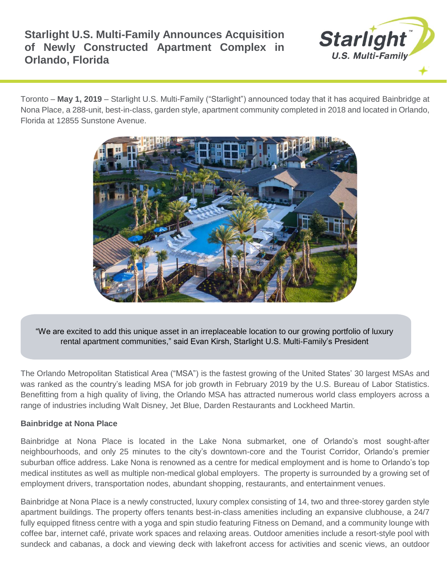

Toronto – **May 1, 2019** – Starlight U.S. Multi-Family ("Starlight") announced today that it has acquired Bainbridge at Nona Place, a 288-unit, best-in-class, garden style, apartment community completed in 2018 and located in Orlando, Florida at 12855 Sunstone Avenue.



"We are excited to add this unique asset in an irreplaceable location to our growing portfolio of luxury rental apartment communities," said Evan Kirsh, Starlight U.S. Multi-Family's President

The Orlando Metropolitan Statistical Area ("MSA") is the fastest growing of the United States' 30 largest MSAs and was ranked as the country's leading MSA for job growth in February 2019 by the U.S. Bureau of Labor Statistics. Benefitting from a high quality of living, the Orlando MSA has attracted numerous world class employers across a range of industries including Walt Disney, Jet Blue, Darden Restaurants and Lockheed Martin.

## **Bainbridge at Nona Place**

Bainbridge at Nona Place is located in the Lake Nona submarket, one of Orlando's most sought-after neighbourhoods, and only 25 minutes to the city's downtown-core and the Tourist Corridor, Orlando's premier suburban office address. Lake Nona is renowned as a centre for medical employment and is home to Orlando's top medical institutes as well as multiple non-medical global employers. The property is surrounded by a growing set of employment drivers, transportation nodes, abundant shopping, restaurants, and entertainment venues.

Bainbridge at Nona Place is a newly constructed, luxury complex consisting of 14, two and three-storey garden style apartment buildings. The property offers tenants best-in-class amenities including an expansive clubhouse, a 24/7 fully equipped fitness centre with a yoga and spin studio featuring Fitness on Demand, and a community lounge with coffee bar, internet café, private work spaces and relaxing areas. Outdoor amenities include a resort-style pool with sundeck and cabanas, a dock and viewing deck with lakefront access for activities and scenic views, an outdoor